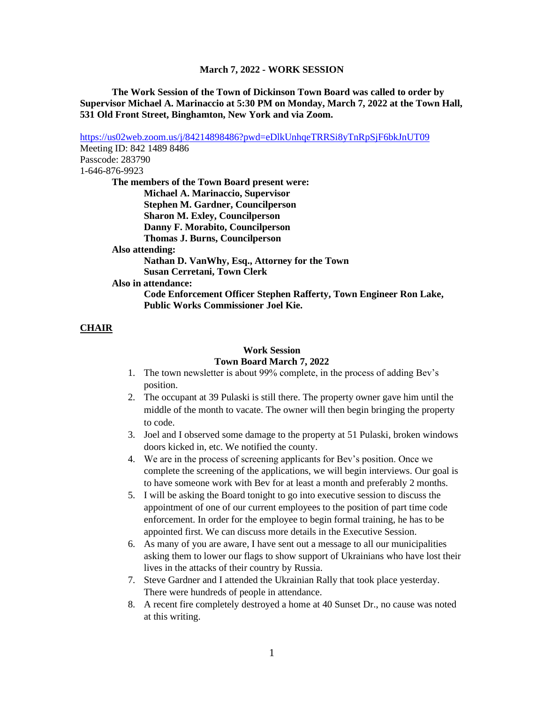#### **March 7, 2022 - WORK SESSION**

**The Work Session of the Town of Dickinson Town Board was called to order by Supervisor Michael A. Marinaccio at 5:30 PM on Monday, March 7, 2022 at the Town Hall, 531 Old Front Street, Binghamton, New York and via Zoom.**

<https://us02web.zoom.us/j/84214898486?pwd=eDlkUnhqeTRRSi8yTnRpSjF6bkJnUT09> Meeting ID: 842 1489 8486 Passcode: 283790 1-646-876-9923 **The members of the Town Board present were: Michael A. Marinaccio, Supervisor Stephen M. Gardner, Councilperson Sharon M. Exley, Councilperson Danny F. Morabito, Councilperson Thomas J. Burns, Councilperson Also attending: Nathan D. VanWhy, Esq., Attorney for the Town Susan Cerretani, Town Clerk Also in attendance: Code Enforcement Officer Stephen Rafferty, Town Engineer Ron Lake, Public Works Commissioner Joel Kie.**

# **CHAIR**

### **Work Session Town Board March 7, 2022**

- 1. The town newsletter is about 99% complete, in the process of adding Bev's position.
- 2. The occupant at 39 Pulaski is still there. The property owner gave him until the middle of the month to vacate. The owner will then begin bringing the property to code.
- 3. Joel and I observed some damage to the property at 51 Pulaski, broken windows doors kicked in, etc. We notified the county.
- 4. We are in the process of screening applicants for Bev's position. Once we complete the screening of the applications, we will begin interviews. Our goal is to have someone work with Bev for at least a month and preferably 2 months.
- 5. I will be asking the Board tonight to go into executive session to discuss the appointment of one of our current employees to the position of part time code enforcement. In order for the employee to begin formal training, he has to be appointed first. We can discuss more details in the Executive Session.
- 6. As many of you are aware, I have sent out a message to all our municipalities asking them to lower our flags to show support of Ukrainians who have lost their lives in the attacks of their country by Russia.
- 7. Steve Gardner and I attended the Ukrainian Rally that took place yesterday. There were hundreds of people in attendance.
- 8. A recent fire completely destroyed a home at 40 Sunset Dr., no cause was noted at this writing.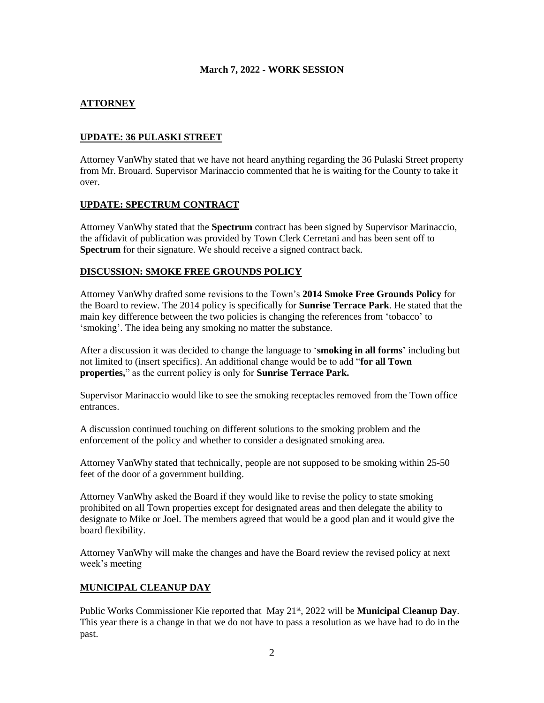### **March 7, 2022 - WORK SESSION**

# **ATTORNEY**

## **UPDATE: 36 PULASKI STREET**

Attorney VanWhy stated that we have not heard anything regarding the 36 Pulaski Street property from Mr. Brouard. Supervisor Marinaccio commented that he is waiting for the County to take it over.

#### **UPDATE: SPECTRUM CONTRACT**

Attorney VanWhy stated that the **Spectrum** contract has been signed by Supervisor Marinaccio, the affidavit of publication was provided by Town Clerk Cerretani and has been sent off to **Spectrum** for their signature. We should receive a signed contract back.

#### **DISCUSSION: SMOKE FREE GROUNDS POLICY**

Attorney VanWhy drafted some revisions to the Town's **2014 Smoke Free Grounds Policy** for the Board to review. The 2014 policy is specifically for **Sunrise Terrace Park**. He stated that the main key difference between the two policies is changing the references from 'tobacco' to 'smoking'. The idea being any smoking no matter the substance.

After a discussion it was decided to change the language to '**smoking in all forms**' including but not limited to (insert specifics). An additional change would be to add "**for all Town properties,**" as the current policy is only for **Sunrise Terrace Park.**

Supervisor Marinaccio would like to see the smoking receptacles removed from the Town office entrances.

A discussion continued touching on different solutions to the smoking problem and the enforcement of the policy and whether to consider a designated smoking area.

Attorney VanWhy stated that technically, people are not supposed to be smoking within 25-50 feet of the door of a government building.

Attorney VanWhy asked the Board if they would like to revise the policy to state smoking prohibited on all Town properties except for designated areas and then delegate the ability to designate to Mike or Joel. The members agreed that would be a good plan and it would give the board flexibility.

Attorney VanWhy will make the changes and have the Board review the revised policy at next week's meeting

#### **MUNICIPAL CLEANUP DAY**

Public Works Commissioner Kie reported that May 21st, 2022 will be **Municipal Cleanup Day**. This year there is a change in that we do not have to pass a resolution as we have had to do in the past.